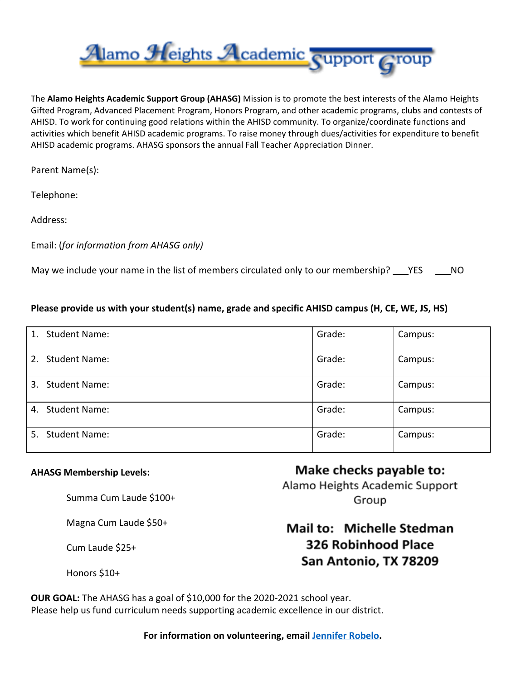

The **Alamo Heights Academic Support Group (AHASG)** Mission is to promote the best interests of the Alamo Heights Gifted Program, Advanced Placement Program, Honors Program, and other academic programs, clubs and contests of AHISD. To work for continuing good relations within the AHISD community. To organize/coordinate functions and activities which benefit AHISD academic programs. To raise money through dues/activities for expenditure to benefit AHISD academic programs. AHASG sponsors the annual Fall Teacher Appreciation Dinner.

Parent Name(s):

Telephone:

Address:

Email: (*for information from AHASG only)*

May we include your name in the list of members circulated only to our membership? \_\_\_YES \_\_\_\_NO

### **Please provide us with your student(s) name, grade and specific AHISD campus (H, CE, WE, JS, HS)**

| <b>Student Name:</b><br>1. | Grade: | Campus: |
|----------------------------|--------|---------|
| <b>Student Name:</b><br>2. | Grade: | Campus: |
| <b>Student Name:</b><br>3. | Grade: | Campus: |
| <b>Student Name:</b><br>4. | Grade: | Campus: |
| <b>Student Name:</b><br>5. | Grade: | Campus: |

#### **AHASG Membership Levels:**

Summa Cum Laude \$100+

Magna Cum Laude \$50+

Cum Laude \$25+

Honors \$10+

# Make checks payable to: Alamo Heights Academic Support Group

## Mail to: Michelle Stedman 326 Robinhood Place San Antonio, TX 78209

**OUR GOAL:** The AHASG has a goal of \$10,000 for the 2020-2021 school year. Please help us fund curriculum needs supporting academic excellence in our district.

**For information on volunteering, email [Jennifer Robelo.](mailto:jenrobelo@gmail.com?subject=AHASG%20Volunteer)**